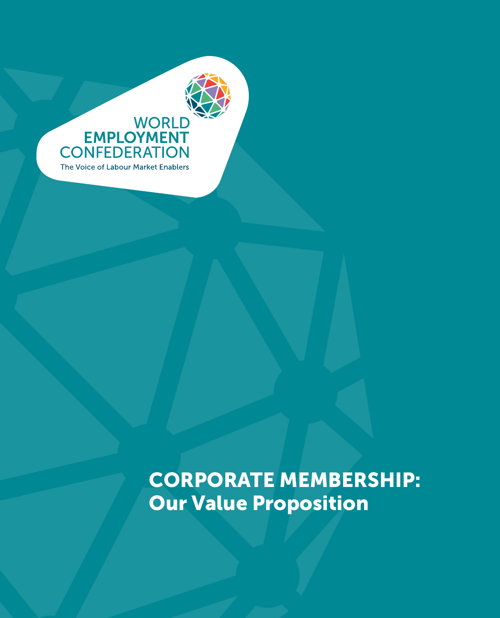

CORPORATE MEMBERSHIP: Our Value Proposition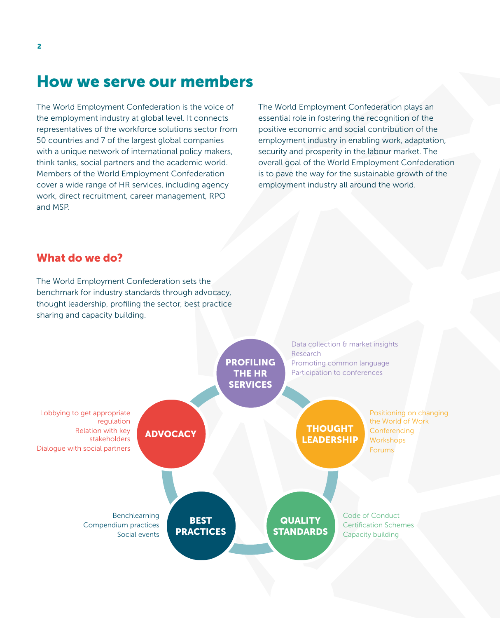# How we serve our members

The World Employment Confederation is the voice of the employment industry at global level. It connects representatives of the workforce solutions sector from 50 countries and 7 of the largest global companies with a unique network of international policy makers, think tanks, social partners and the academic world. Members of the World Employment Confederation cover a wide range of HR services, including agency work, direct recruitment, career management, RPO and MSP.

The World Employment Confederation plays an essential role in fostering the recognition of the positive economic and social contribution of the employment industry in enabling work, adaptation, security and prosperity in the labour market. The overall goal of the World Employment Confederation is to pave the way for the sustainable growth of the employment industry all around the world.

# What do we do?

The World Employment Confederation sets the benchmark for industry standards through advocacy, thought leadership, profiling the sector, best practice sharing and capacity building.

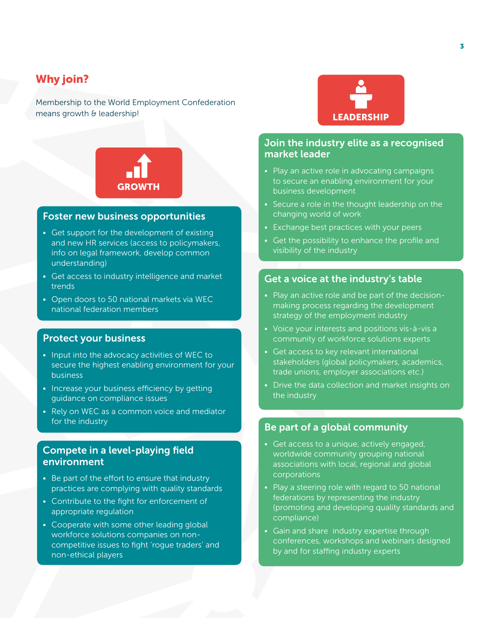# Why join?

Membership to the World Employment Confederation means growth & leadership!



#### Foster new business opportunities

- Get support for the development of existing and new HR services (access to policymakers, info on legal framework, develop common understanding)
- Get access to industry intelligence and market trends
- Open doors to 50 national markets via WEC national federation members

#### Protect your business

- Input into the advocacy activities of WEC to secure the highest enabling environment for your business
- Increase your business efficiency by getting guidance on compliance issues
- Rely on WEC as a common voice and mediator for the industry

### Compete in a level-playing field environment

- Be part of the effort to ensure that industry practices are complying with quality standards
- Contribute to the fight for enforcement of appropriate regulation
- Cooperate with some other leading global workforce solutions companies on noncompetitive issues to fight 'rogue traders' and non-ethical players



### Join the industry elite as a recognised market leader

- Play an active role in advocating campaigns to secure an enabling environment for your business development
- Secure a role in the thought leadership on the changing world of work
- Exchange best practices with your peers
- Get the possibility to enhance the profile and visibility of the industry

#### Get a voice at the industry's table

- Play an active role and be part of the decisionmaking process regarding the development strategy of the employment industry
- Voice your interests and positions vis-à-vis a community of workforce solutions experts
- Get access to key relevant international stakeholders (global policymakers, academics, trade unions, employer associations etc.)
- Drive the data collection and market insights on the industry

### Be part of a global community

- Get access to a unique, actively engaged, worldwide community grouping national associations with local, regional and global corporations
- Play a steering role with regard to 50 national federations by representing the industry (promoting and developing quality standards and compliance)
- Gain and share industry expertise through conferences, workshops and webinars designed by and for staffing industry experts